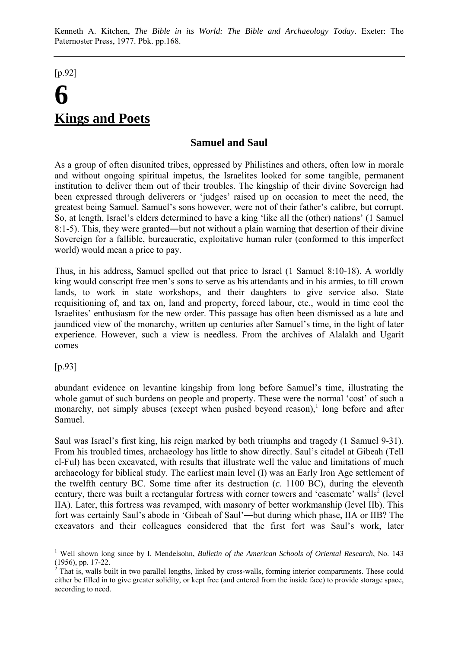[p.92]

# **6 Kings and Poets**

## **Samuel and Saul**

As a group of often disunited tribes, oppressed by Philistines and others, often low in morale and without ongoing spiritual impetus, the Israelites looked for some tangible, permanent institution to deliver them out of their troubles. The kingship of their divine Sovereign had been expressed through deliverers or 'judges' raised up on occasion to meet the need, the greatest being Samuel. Samuel's sons however, were not of their father's calibre, but corrupt. So, at length, Israel's elders determined to have a king 'like all the (other) nations' (1 Samuel 8:1-5). This, they were granted―but not without a plain warning that desertion of their divine Sovereign for a fallible, bureaucratic, exploitative human ruler (conformed to this imperfect world) would mean a price to pay.

Thus, in his address, Samuel spelled out that price to Israel (1 Samuel 8:10-18). A worldly king would conscript free men's sons to serve as his attendants and in his armies, to till crown lands, to work in state workshops, and their daughters to give service also. State requisitioning of, and tax on, land and property, forced labour, etc., would in time cool the Israelites' enthusiasm for the new order. This passage has often been dismissed as a late and jaundiced view of the monarchy, written up centuries after Samuel's time, in the light of later experience. However, such a view is needless. From the archives of Alalakh and Ugarit comes

[p.93]

 $\overline{a}$ 

abundant evidence on levantine kingship from long before Samuel's time, illustrating the whole gamut of such burdens on people and property. These were the normal 'cost' of such a monarchy, not simply abuses (except when pushed beyond reason),<sup>1</sup> long before and after Samuel.

Saul was Israel's first king, his reign marked by both triumphs and tragedy (1 Samuel 9-31). From his troubled times, archaeology has little to show directly. Saul's citadel at Gibeah (Tell el-Ful) has been excavated, with results that illustrate well the value and limitations of much archaeology for biblical study. The earliest main level (I) was an Early Iron Age settlement of the twelfth century BC. Some time after its destruction (*c*. 1100 BC), during the eleventh century, there was built a rectangular fortress with corner towers and 'casemate' walls<sup>2</sup> (level IIA). Later, this fortress was revamped, with masonry of better workmanship (level IIb). This fort was certainly Saul's abode in 'Gibeah of Saul'―but during which phase, IIA or IIB? The excavators and their colleagues considered that the first fort was Saul's work, later

<sup>&</sup>lt;sup>1</sup> Well shown long since by I. Mendelsohn, *Bulletin of the American Schools of Oriental Research*, No. 143 (1956), pp. 17-22.

 $2^{2}$  That is, walls built in two parallel lengths, linked by cross-walls, forming interior compartments. These could either be filled in to give greater solidity, or kept free (and entered from the inside face) to provide storage space, according to need.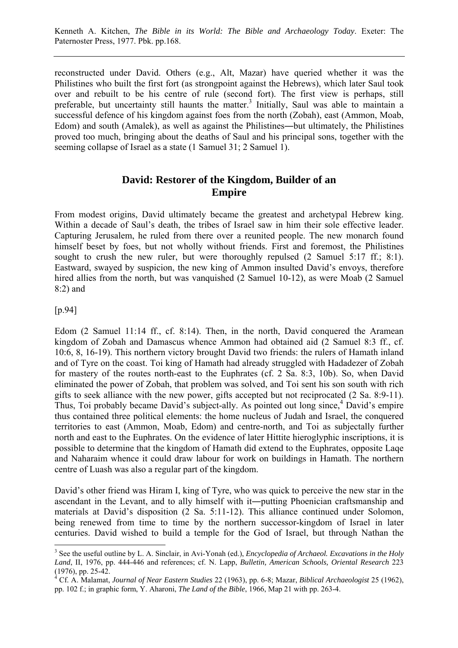reconstructed under David. Others (e.g., Alt, Mazar) have queried whether it was the Philistines who built the first fort (as strongpoint against the Hebrews), which later Saul took over and rebuilt to be his centre of rule (second fort). The first view is perhaps, still preferable, but uncertainty still haunts the matter.<sup>3</sup> Initially, Saul was able to maintain a successful defence of his kingdom against foes from the north (Zobah), east (Ammon, Moab, Edom) and south (Amalek), as well as against the Philistines―but ultimately, the Philistines proved too much, bringing about the deaths of Saul and his principal sons, together with the seeming collapse of Israel as a state (1 Samuel 31; 2 Samuel 1).

# **David: Restorer of the Kingdom, Builder of an Empire**

From modest origins, David ultimately became the greatest and archetypal Hebrew king. Within a decade of Saul's death, the tribes of Israel saw in him their sole effective leader. Capturing Jerusalem, he ruled from there over a reunited people. The new monarch found himself beset by foes, but not wholly without friends. First and foremost, the Philistines sought to crush the new ruler, but were thoroughly repulsed (2 Samuel 5:17 ff.; 8:1). Eastward, swayed by suspicion, the new king of Ammon insulted David's envoys, therefore hired allies from the north, but was vanquished (2 Samuel 10-12), as were Moab (2 Samuel 8:2) and

[p.94]

 $\overline{a}$ 

Edom (2 Samuel 11:14 ff., cf. 8:14). Then, in the north, David conquered the Aramean kingdom of Zobah and Damascus whence Ammon had obtained aid (2 Samuel 8:3 ff., cf. 10:6, 8, 16-19). This northern victory brought David two friends: the rulers of Hamath inland and of Tyre on the coast. Toi king of Hamath had already struggled with Hadadezer of Zobah for mastery of the routes north-east to the Euphrates (cf. 2 Sa. 8:3, 10b). So, when David eliminated the power of Zobah, that problem was solved, and Toi sent his son south with rich gifts to seek alliance with the new power, gifts accepted but not reciprocated (2 Sa. 8:9-11). Thus, Toi probably became David's subject-ally. As pointed out long since,<sup>4</sup> David's empire thus contained three political elements: the home nucleus of Judah and Israel, the conquered territories to east (Ammon, Moab, Edom) and centre-north, and Toi as subjectally further north and east to the Euphrates. On the evidence of later Hittite hieroglyphic inscriptions, it is possible to determine that the kingdom of Hamath did extend to the Euphrates, opposite Laqe and Naharaim whence it could draw labour for work on buildings in Hamath. The northern centre of Luash was also a regular part of the kingdom.

David's other friend was Hiram I, king of Tyre, who was quick to perceive the new star in the ascendant in the Levant, and to ally himself with it―putting Phoenician craftsmanship and materials at David's disposition (2 Sa. 5:11-12). This alliance continued under Solomon, being renewed from time to time by the northern successor-kingdom of Israel in later centuries. David wished to build a temple for the God of Israel, but through Nathan the

<sup>&</sup>lt;sup>3</sup> See the useful outline by L. A. Sinclair, in Avi-Yonah (ed.), *Encyclopedia of Archaeol. Excavations in the Holy Land*, II, 1976, pp. 444-446 and references; cf. N. Lapp, *Bulletin, American Schools, Oriental Research* 223 (1976), pp. 25-42.

<sup>4</sup> Cf. A. Malamat, *Journal of Near Eastern Studies* 22 (1963), pp. 6-8; Mazar, *Biblical Archaeologist* 25 (1962), pp. 102 f.; in graphic form, Y. Aharoni, *The Land of the Bible*, 1966, Map 21 with pp. 263-4.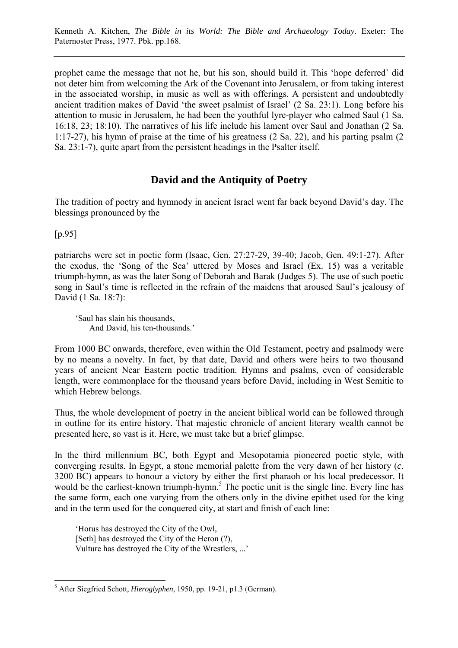prophet came the message that not he, but his son, should build it. This 'hope deferred' did not deter him from welcoming the Ark of the Covenant into Jerusalem, or from taking interest in the associated worship, in music as well as with offerings. A persistent and undoubtedly ancient tradition makes of David 'the sweet psalmist of Israel' (2 Sa. 23:1). Long before his attention to music in Jerusalem, he had been the youthful lyre-player who calmed Saul (1 Sa. 16:18, 23; 18:10). The narratives of his life include his lament over Saul and Jonathan (2 Sa. 1:17-27), his hymn of praise at the time of his greatness (2 Sa. 22), and his parting psalm (2 Sa. 23:1-7), quite apart from the persistent headings in the Psalter itself.

# **David and the Antiquity of Poetry**

The tradition of poetry and hymnody in ancient Israel went far back beyond David's day. The blessings pronounced by the

[p.95]

patriarchs were set in poetic form (Isaac, Gen. 27:27-29, 39-40; Jacob, Gen. 49:1-27). After the exodus, the 'Song of the Sea' uttered by Moses and Israel (Ex. 15) was a veritable triumph-hymn, as was the later Song of Deborah and Barak (Judges 5). The use of such poetic song in Saul's time is reflected in the refrain of the maidens that aroused Saul's jealousy of David (1 Sa. 18:7):

'Saul has slain his thousands, And David, his ten-thousands.'

From 1000 BC onwards, therefore, even within the Old Testament, poetry and psalmody were by no means a novelty. In fact, by that date, David and others were heirs to two thousand years of ancient Near Eastern poetic tradition. Hymns and psalms, even of considerable length, were commonplace for the thousand years before David, including in West Semitic to which Hebrew belongs.

Thus, the whole development of poetry in the ancient biblical world can be followed through in outline for its entire history. That majestic chronicle of ancient literary wealth cannot be presented here, so vast is it. Here, we must take but a brief glimpse.

In the third millennium BC, both Egypt and Mesopotamia pioneered poetic style, with converging results. In Egypt, a stone memorial palette from the very dawn of her history (*c*. 3200 BC) appears to honour a victory by either the first pharaoh or his local predecessor. It would be the earliest-known triumph-hymn.<sup>5</sup> The poetic unit is the single line. Every line has the same form, each one varying from the others only in the divine epithet used for the king and in the term used for the conquered city, at start and finish of each line:

'Horus has destroyed the City of the Owl, [Seth] has destroyed the City of the Heron  $(?)$ , Vulture has destroyed the City of the Wrestlers, ...'

 $\overline{a}$ 5 After Siegfried Schott, *Hieroglyphen*, 1950, pp. 19-21, p1.3 (German).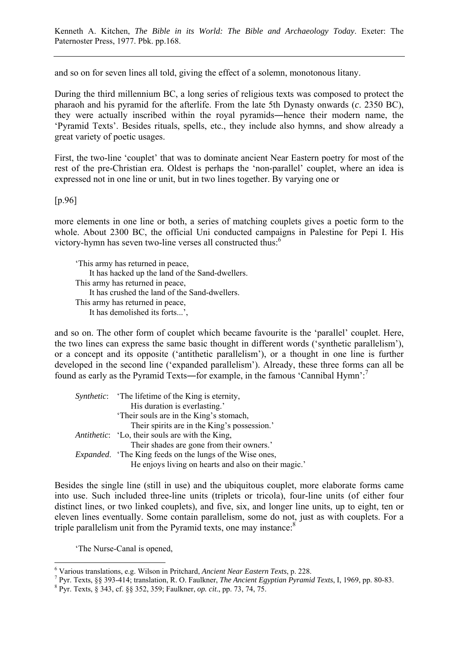and so on for seven lines all told, giving the effect of a solemn, monotonous litany.

During the third millennium BC, a long series of religious texts was composed to protect the pharaoh and his pyramid for the afterlife. From the late 5th Dynasty onwards (*c*. 2350 BC), they were actually inscribed within the royal pyramids―hence their modern name, the 'Pyramid Texts'. Besides rituals, spells, etc., they include also hymns, and show already a great variety of poetic usages.

First, the two-line 'couplet' that was to dominate ancient Near Eastern poetry for most of the rest of the pre-Christian era. Oldest is perhaps the 'non-parallel' couplet, where an idea is expressed not in one line or unit, but in two lines together. By varying one or

[p.96]

more elements in one line or both, a series of matching couplets gives a poetic form to the whole. About 2300 BC, the official Uni conducted campaigns in Palestine for Pepi I. His victory-hymn has seven two-line verses all constructed thus:<sup>6</sup>

'This army has returned in peace, It has hacked up the land of the Sand-dwellers. This army has returned in peace, It has crushed the land of the Sand-dwellers. This army has returned in peace, It has demolished its forts...',

and so on. The other form of couplet which became favourite is the 'parallel' couplet. Here, the two lines can express the same basic thought in different words ('synthetic parallelism'), or a concept and its opposite ('antithetic parallelism'), or a thought in one line is further developed in the second line ('expanded parallelism'). Already, these three forms can all be found as early as the Pyramid Texts―for example, in the famous 'Cannibal Hymn':<sup>7</sup>

| <i>Synthetic</i> : 'The lifetime of the King is eternity,       |
|-----------------------------------------------------------------|
| His duration is everlasting.'                                   |
| Their souls are in the King's stomach,                          |
| Their spirits are in the King's possession.'                    |
| <i>Antithetic</i> : 'Lo, their souls are with the King,         |
| Their shades are gone from their owners.'                       |
| <i>Expanded.</i> 'The King feeds on the lungs of the Wise ones, |
| He enjoys living on hearts and also on their magic.'            |

Besides the single line (still in use) and the ubiquitous couplet, more elaborate forms came into use. Such included three-line units (triplets or tricola), four-line units (of either four distinct lines, or two linked couplets), and five, six, and longer line units, up to eight, ten or eleven lines eventually. Some contain parallelism, some do not, just as with couplets. For a triple parallelism unit from the Pyramid texts, one may instance:<sup>8</sup>

'The Nurse-Canal is opened,

 $\overline{a}$ 

<sup>&</sup>lt;sup>6</sup> Various translations, e.g. Wilson in Pritchard, *Ancient Near Eastern Texts*, p. 228.

Pyr. Texts, §§ 393-414; translation, R. O. Faulkner, *The Ancient Egyptian Pyramid Texts*, I, 1969, pp. 80-83. 8

Pyr. Texts, § 343, cf. §§ 352, 359; Faulkner, *op. cit*., pp. 73, 74, 75.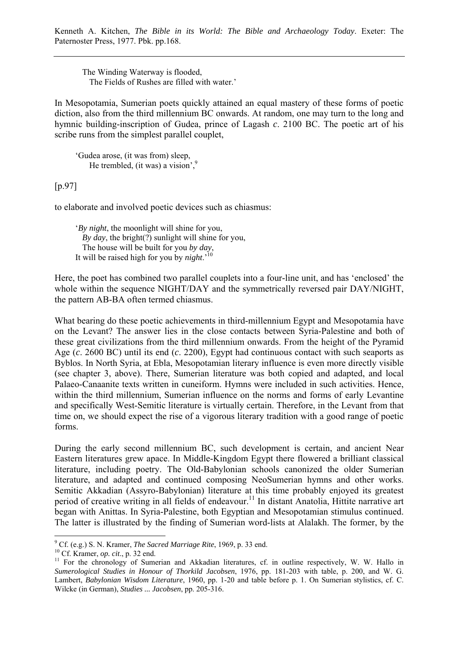The Winding Waterway is flooded, The Fields of Rushes are filled with water.'

In Mesopotamia, Sumerian poets quickly attained an equal mastery of these forms of poetic diction, also from the third millennium BC onwards. At random, one may turn to the long and hymnic building-inscription of Gudea, prince of Lagash *c*. 2100 BC. The poetic art of his scribe runs from the simplest parallel couplet,

'Gudea arose, (it was from) sleep, He trembled, (it was) a vision'.<sup>9</sup>

[p.97]

to elaborate and involved poetic devices such as chiasmus:

'*By night*, the moonlight will shine for you,  *By day*, the bright(?) sunlight will shine for you, The house will be built for you *by day*, It will be raised high for you by *night*.'<sup>10</sup>

Here, the poet has combined two parallel couplets into a four-line unit, and has 'enclosed' the whole within the sequence NIGHT/DAY and the symmetrically reversed pair DAY/NIGHT, the pattern AB-BA often termed chiasmus.

What bearing do these poetic achievements in third-millennium Egypt and Mesopotamia have on the Levant? The answer lies in the close contacts between Syria-Palestine and both of these great civilizations from the third millennium onwards. From the height of the Pyramid Age (*c*. 2600 BC) until its end (*c*. 2200), Egypt had continuous contact with such seaports as Byblos. In North Syria, at Ebla, Mesopotamian literary influence is even more directly visible (see chapter 3, above). There, Sumerian literature was both copied and adapted, and local Palaeo-Canaanite texts written in cuneiform. Hymns were included in such activities. Hence, within the third millennium, Sumerian influence on the norms and forms of early Levantine and specifically West-Semitic literature is virtually certain. Therefore, in the Levant from that time on, we should expect the rise of a vigorous literary tradition with a good range of poetic forms.

During the early second millennium BC, such development is certain, and ancient Near Eastern literatures grew apace. In Middle-Kingdom Egypt there flowered a brilliant classical literature, including poetry. The Old-Babylonian schools canonized the older Sumerian literature, and adapted and continued composing NeoSumerian hymns and other works. Semitic Akkadian (Assyro-Babylonian) literature at this time probably enjoyed its greatest period of creative writing in all fields of endeavour.<sup>11</sup> In distant Anatolia, Hittite narrative art began with Anittas. In Syria-Palestine, both Egyptian and Mesopotamian stimulus continued. The latter is illustrated by the finding of Sumerian word-lists at Alalakh. The former, by the

 $\overline{a}$ 

 $\degree$  Cf. (e.g.) S. N. Kramer, *The Sacred Marriage Rite*, 1969, p. 33 end.

<sup>&</sup>lt;sup>10</sup> Cf. Kramer, *op. cit.*, p. 32 end.<br><sup>11</sup> For the chronology of Sumerian and Akkadian literatures, cf. in outline respectively, W. W. Hallo in *Sumerological Studies in Honour of Thorkild Jacobsen*, 1976, pp. 181-203 with table, p. 200, and W. G. Lambert, *Babylonian Wisdom Literature*, 1960, pp. 1-20 and table before p. 1. On Sumerian stylistics, cf. C. Wilcke (in German), *Studies ... Jacobsen*, pp. 205-316.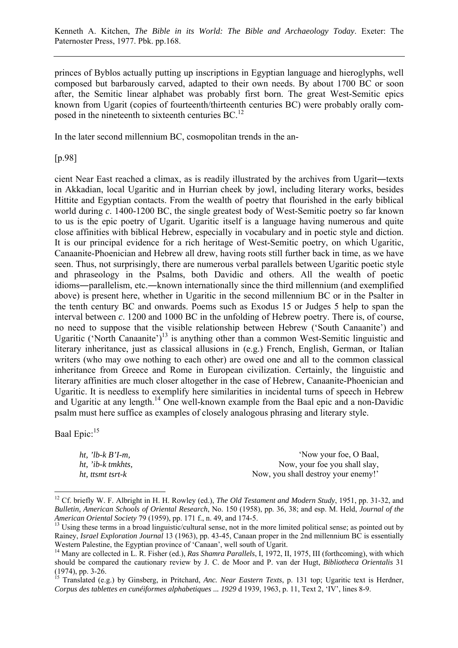princes of Byblos actually putting up inscriptions in Egyptian language and hieroglyphs, well composed but barbarously carved, adapted to their own needs. By about 1700 BC or soon after, the Semitic linear alphabet was probably first born. The great West-Semitic epics known from Ugarit (copies of fourteenth/thirteenth centuries BC) were probably orally composed in the nineteenth to sixteenth centuries  $BC<sup>12</sup>$ .

In the later second millennium BC, cosmopolitan trends in the an-

[p.98]

cient Near East reached a climax, as is readily illustrated by the archives from Ugarit—texts in Akkadian, local Ugaritic and in Hurrian cheek by jowl, including literary works, besides Hittite and Egyptian contacts. From the wealth of poetry that flourished in the early biblical world during *c*. 1400-1200 BC, the single greatest body of West-Semitic poetry so far known to us is the epic poetry of Ugarit. Ugaritic itself is a language having numerous and quite close affinities with biblical Hebrew, especially in vocabulary and in poetic style and diction. It is our principal evidence for a rich heritage of West-Semitic poetry, on which Ugaritic, Canaanite-Phoenician and Hebrew all drew, having roots still further back in time, as we have seen. Thus, not surprisingly, there are numerous verbal parallels between Ugaritic poetic style and phraseology in the Psalms, both Davidic and others. All the wealth of poetic idioms―parallelism, etc.―known internationally since the third millennium (and exemplified above) is present here, whether in Ugaritic in the second millennium BC or in the Psalter in the tenth century BC and onwards. Poems such as Exodus 15 or Judges 5 help to span the interval between *c*. 1200 and 1000 BC in the unfolding of Hebrew poetry. There is, of course, no need to suppose that the visible relationship between Hebrew ('South Canaanite') and Ugaritic ('North Canaanite')<sup>13</sup> is anything other than a common West-Semitic linguistic and literary inheritance, just as classical allusions in (e.g.) French, English, German, or Italian writers (who may owe nothing to each other) are owed one and all to the common classical inheritance from Greece and Rome in European civilization. Certainly, the linguistic and literary affinities are much closer altogether in the case of Hebrew, Canaanite-Phoenician and Ugaritic. It is needless to exemplify here similarities in incidental turns of speech in Hebrew and Ugaritic at any length.14 One well-known example from the Baal epic and a non-Davidic psalm must here suffice as examples of closely analogous phrasing and literary style.

Baal Epic:<sup>15</sup>

 $\overline{a}$ 

*ht, 'lb-k B'I-m, ht, 'ib-k tmkhts, ht, ttsmt tsrt-k*

'Now your foe, O Baal, Now, your foe you shall slay, Now, you shall destroy your enemy!'

<sup>12</sup> Cf. briefly W. F. Albright in H. H. Rowley (ed.), *The Old Testament and Modern Study*, 1951, pp. 31-32, and *Bulletin, American Schools of Oriental Research*, No. 150 (1958), pp. 36, 38; and esp. M. Held, *Journal of the American Oriental Society* 79 (1959), pp. 171 f., n. 49, and 174-5.<br><sup>13</sup> Using these terms in a broad linguistic/cultural sense, not in the more limited political sense; as pointed out by

Rainey, *Israel Exploration Journal* 13 (1963), pp. 43-45, Canaan proper in the 2nd millennium BC is essentially Western Palestine, the Egyptian province of 'Canaan', well south of Ugarit.

<sup>&</sup>lt;sup>14</sup> Many are collected in L. R. Fisher (ed.), *Ras Shamra Parallels*, I, 1972, II, 1975, III (forthcoming), with which should be compared the cautionary review by J. C. de Moor and P. van der Hugt, *Bibliotheca Orientalis* 31 (1974), pp. 3-26.

<sup>&</sup>lt;sup>15</sup> Translated (e.g.) by Ginsberg, in Pritchard, *Anc. Near Eastern Texts*, p. 131 top; Ugaritic text is Herdner, *Corpus des tablettes en cunéiformes alphabetiques ... 1929* d 1939, 1963, p. 11, Text 2, 'IV', lines 8-9.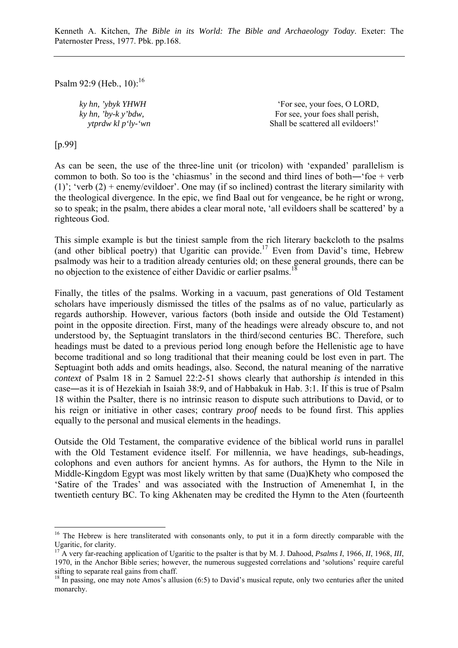Psalm 92:9 (Heb., 10):<sup>16</sup>

*ky hn, 'ybyk YHWH ky hn, 'by-k y'bdw, ytprdw kl p'ly-'wn*

'For see, your foes, O LORD, For see, your foes shall perish, Shall be scattered all evildoers!'

[p.99]

 $\overline{a}$ 

As can be seen, the use of the three-line unit (or tricolon) with 'expanded' parallelism is common to both. So too is the 'chiasmus' in the second and third lines of both―'foe + verb (1)'; 'verb (2) + enemy/evildoer'. One may (if so inclined) contrast the literary similarity with the theological divergence. In the epic, we find Baal out for vengeance, be he right or wrong, so to speak; in the psalm, there abides a clear moral note, 'all evildoers shall be scattered' by a righteous God.

This simple example is but the tiniest sample from the rich literary backcloth to the psalms (and other biblical poetry) that Ugaritic can provide.17 Even from David's time, Hebrew psalmody was heir to a tradition already centuries old; on these general grounds, there can be no objection to the existence of either Davidic or earlier psalms.<sup>18</sup>

Finally, the titles of the psalms. Working in a vacuum, past generations of Old Testament scholars have imperiously dismissed the titles of the psalms as of no value, particularly as regards authorship. However, various factors (both inside and outside the Old Testament) point in the opposite direction. First, many of the headings were already obscure to, and not understood by, the Septuagint translators in the third/second centuries BC. Therefore, such headings must be dated to a previous period long enough before the Hellenistic age to have become traditional and so long traditional that their meaning could be lost even in part. The Septuagint both adds and omits headings, also. Second, the natural meaning of the narrative *context* of Psalm 18 in 2 Samuel 22:2-51 shows clearly that authorship *is* intended in this case―as it is of Hezekiah in Isaiah 38:9, and of Habbakuk in Hab. 3:1. If this is true of Psalm 18 within the Psalter, there is no intrinsic reason to dispute such attributions to David, or to his reign or initiative in other cases; contrary *proof* needs to be found first. This applies equally to the personal and musical elements in the headings.

Outside the Old Testament, the comparative evidence of the biblical world runs in parallel with the Old Testament evidence itself. For millennia, we have headings, sub-headings, colophons and even authors for ancient hymns. As for authors, the Hymn to the Nile in Middle-Kingdom Egypt was most likely written by that same (Dua)Khety who composed the 'Satire of the Trades' and was associated with the Instruction of Amenemhat I, in the twentieth century BC. To king Akhenaten may be credited the Hymn to the Aten (fourteenth

<sup>&</sup>lt;sup>16</sup> The Hebrew is here transliterated with consonants only, to put it in a form directly comparable with the Ugaritic, for clarity.

<sup>17</sup> A very far-reaching application of Ugaritic to the psalter is that by M. J. Dahood, *Psalms I*, 1966, *II*, 1968, *III*, 1970, in the Anchor Bible series; however, the numerous suggested correlations and 'solutions' require careful sifting to separate real gains from chaff.

<sup>&</sup>lt;sup>18</sup> In passing, one may note Amos's allusion (6:5) to David's musical repute, only two centuries after the united monarchy.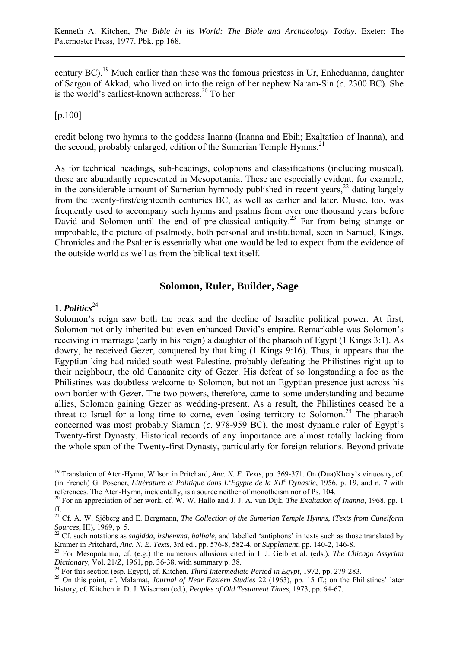century BC).19 Much earlier than these was the famous priestess in Ur, Enheduanna, daughter of Sargon of Akkad, who lived on into the reign of her nephew Naram-Sin (*c*. 2300 BC). She is the world's earliest-known authoress.20 To her

[p.100]

credit belong two hymns to the goddess Inanna (Inanna and Ebih; Exaltation of Inanna), and the second, probably enlarged, edition of the Sumerian Temple Hymns.<sup>21</sup>

As for technical headings, sub-headings, colophons and classifications (including musical), these are abundantly represented in Mesopotamia. These are especially evident, for example, in the considerable amount of Sumerian hymnody published in recent years,  $^{22}$  dating largely from the twenty-first/eighteenth centuries BC, as well as earlier and later. Music, too, was frequently used to accompany such hymns and psalms from over one thousand years before David and Solomon until the end of pre-classical antiquity.<sup>23</sup> Far from being strange or improbable, the picture of psalmody, both personal and institutional, seen in Samuel, Kings, Chronicles and the Psalter is essentially what one would be led to expect from the evidence of the outside world as well as from the biblical text itself.

## **Solomon, Ruler, Builder, Sage**

#### 1.  $Politics^{24}$

 $\overline{a}$ 

Solomon's reign saw both the peak and the decline of Israelite political power. At first, Solomon not only inherited but even enhanced David's empire. Remarkable was Solomon's receiving in marriage (early in his reign) a daughter of the pharaoh of Egypt (1 Kings 3:1). As dowry, he received Gezer, conquered by that king (1 Kings 9:16). Thus, it appears that the Egyptian king had raided south-west Palestine, probably defeating the Philistines right up to their neighbour, the old Canaanite city of Gezer. His defeat of so longstanding a foe as the Philistines was doubtless welcome to Solomon, but not an Egyptian presence just across his own border with Gezer. The two powers, therefore, came to some understanding and became allies, Solomon gaining Gezer as wedding-present. As a result, the Philistines ceased be a threat to Israel for a long time to come, even losing territory to Solomon.<sup>25</sup> The pharaoh concerned was most probably Siamun (*c*. 978-959 BC), the most dynamic ruler of Egypt's Twenty-first Dynasty. Historical records of any importance are almost totally lacking from the whole span of the Twenty-first Dynasty, particularly for foreign relations. Beyond private

<sup>19</sup> Translation of Aten-Hymn, Wilson in Pritchard, *Anc. N. E. Texts*, pp. 369-371. On (Dua)Khety's virtuosity, cf. (in French) G. Posener, *Littérature et Politique dans L'Egypte de la XII<sup>e</sup> Dynastie*, 1956, p. 19, and n. 7 with references. The Aten-Hymn, incidentally, is a source neither of monotheism nor of Ps. 104.

<sup>&</sup>lt;sup>20</sup> For an appreciation of her work, cf. W. W. Hallo and J. J. A. van Dijk, *The Exaltation of Inanna*, 1968, pp. 1 ff.

<sup>21</sup> Cf. A. W. Sjöberg and E. Bergmann, *The Collection of the Sumerian Temple Hymns*, (*Texts from Cuneiform* 

*Sources*, III), 1969, p. 5. 22 Cf. such notations as *sagidda*, *irshemma*, *balbale*, and labelled 'antiphons' in texts such as those translated by

Kramer in Pritchard, Anc. N. E. Texts, 3rd ed., pp. 576-8, 582-4, or Supplement, pp. 140-2, 146-8.<br><sup>23</sup> For Mesopotamia, cf. (e.g.) the numerous allusions cited in I. J. Gelb et al. (eds.), *The Chicago Assyrian* Dictionar

<sup>&</sup>lt;sup>24</sup> For this section (esp. Egypt), cf. Kitchen, *Third Intermediate Period in Egypt*, 1972, pp. 279-283.<br><sup>25</sup> On this point, cf. Malamat, *Journal of Near Eastern Studies* 22 (1963), pp. 15 ff.; on the Philistines' later history, cf. Kitchen in D. J. Wiseman (ed.), *Peoples of Old Testament Times*, 1973, pp. 64-67.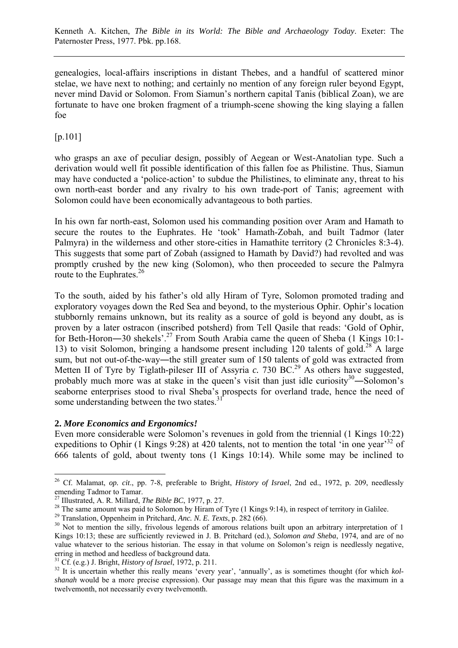genealogies, local-affairs inscriptions in distant Thebes, and a handful of scattered minor stelae, we have next to nothing; and certainly no mention of any foreign ruler beyond Egypt, never mind David or Solomon. From Siamun's northern capital Tanis (biblical Zoan), we are fortunate to have one broken fragment of a triumph-scene showing the king slaying a fallen foe

[p.101]

 $\overline{a}$ 

who grasps an axe of peculiar design, possibly of Aegean or West-Anatolian type. Such a derivation would well fit possible identification of this fallen foe as Philistine. Thus, Siamun may have conducted a 'police-action' to subdue the Philistines, to eliminate any, threat to his own north-east border and any rivalry to his own trade-port of Tanis; agreement with Solomon could have been economically advantageous to both parties.

In his own far north-east, Solomon used his commanding position over Aram and Hamath to secure the routes to the Euphrates. He 'took' Hamath-Zobah, and built Tadmor (later Palmyra) in the wilderness and other store-cities in Hamathite territory (2 Chronicles 8:3-4). This suggests that some part of Zobah (assigned to Hamath by David?) had revolted and was promptly crushed by the new king (Solomon), who then proceeded to secure the Palmyra route to the Euphrates.<sup>26</sup>

To the south, aided by his father's old ally Hiram of Tyre, Solomon promoted trading and exploratory voyages down the Red Sea and beyond, to the mysterious Ophir. Ophir's location stubbornly remains unknown, but its reality as a source of gold is beyond any doubt, as is proven by a later ostracon (inscribed potsherd) from Tell Qasile that reads: 'Gold of Ophir, for Beth-Horon—30 shekels'.<sup>27</sup> From South Arabia came the queen of Sheba (1 Kings 10:1-13) to visit Solomon, bringing a handsome present including 120 talents of gold.<sup>28</sup> A large sum, but not out-of-the-way―the still greater sum of 150 talents of gold was extracted from Metten II of Tyre by Tiglath-pileser III of Assyria *c.* 730 BC.<sup>29</sup> As others have suggested, probably much more was at stake in the queen's visit than just idle curiosity $30$ —Solomon's seaborne enterprises stood to rival Sheba's prospects for overland trade, hence the need of some understanding between the two states.<sup>31</sup>

#### **2.** *More Economics and Ergonomics!*

Even more considerable were Solomon's revenues in gold from the triennial (1 Kings 10:22) expeditions to Ophir (1 Kings 9:28) at 420 talents, not to mention the total 'in one year<sup>32</sup> of 666 talents of gold, about twenty tons (1 Kings 10:14). While some may be inclined to

<sup>26</sup> Cf. Malamat, *op. cit*., pp. 7-8, preferable to Bright, *History of Israel*, 2nd ed., 1972, p. 209, needlessly emending Tadmor to Tamar.<br><sup>27</sup> Illustrated, A. R. Millard, *The Bible BC*, 1977, p. 27.

<sup>&</sup>lt;sup>28</sup> The same amount was paid to Solomon by Hiram of Tyre (1 Kings 9:14), in respect of territory in Galilee.<br><sup>29</sup> Translation, Oppenheim in Pritchard, *Anc. N. E. Texts*, p. 282 (66).<br><sup>30</sup> Not to mention the silly, frivo

Kings 10:13; these are sufficiently reviewed in J. B. Pritchard (ed.), *Solomon and Sheba*, 1974, and are of no value whatever to the serious historian. The essay in that volume on Solomon's reign is needlessly negative, erring in method and heedless of background data.<br><sup>31</sup> Cf. (e.g.) J. Bright, *History of Israel*, 1972, p. 211.

<sup>&</sup>lt;sup>32</sup> It is uncertain whether this really means 'every year', 'annually', as is sometimes thought (for which *kolshanah* would be a more precise expression). Our passage may mean that this figure was the maximum in a twelvemonth, not necessarily every twelvemonth.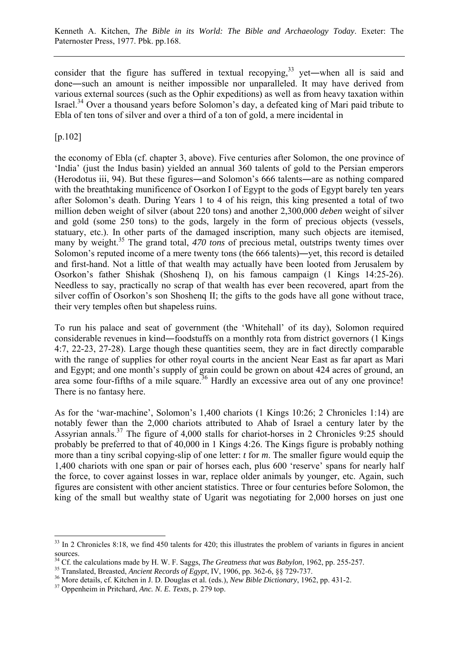consider that the figure has suffered in textual recopying, $33$  yet—when all is said and done―such an amount is neither impossible nor unparalleled. It may have derived from various external sources (such as the Ophir expeditions) as well as from heavy taxation within Israel.34 Over a thousand years before Solomon's day, a defeated king of Mari paid tribute to Ebla of ten tons of silver and over a third of a ton of gold, a mere incidental in

## [p.102]

 $\overline{a}$ 

the economy of Ebla (cf. chapter 3, above). Five centuries after Solomon, the one province of 'India' (just the Indus basin) yielded an annual 360 talents of gold to the Persian emperors (Herodotus iii, 94). But these figures―and Solomon's 666 talents―are as nothing compared with the breathtaking munificence of Osorkon I of Egypt to the gods of Egypt barely ten years after Solomon's death. During Years 1 to 4 of his reign, this king presented a total of two million deben weight of silver (about 220 tons) and another 2,300,000 *deben* weight of silver and gold (some 250 tons) to the gods, largely in the form of precious objects (vessels, statuary, etc.). In other parts of the damaged inscription, many such objects are itemised, many by weight.<sup>35</sup> The grand total, 470 tons of precious metal, outstrips twenty times over Solomon's reputed income of a mere twenty tons (the 666 talents)―yet, this record is detailed and first-hand. Not a little of that wealth may actually have been looted from Jerusalem by Osorkon's father Shishak (Shoshenq I), on his famous campaign (1 Kings 14:25-26). Needless to say, practically no scrap of that wealth has ever been recovered, apart from the silver coffin of Osorkon's son Shoshenq II; the gifts to the gods have all gone without trace, their very temples often but shapeless ruins.

To run his palace and seat of government (the 'Whitehall' of its day), Solomon required considerable revenues in kind―foodstuffs on a monthly rota from district governors (1 Kings 4:7, 22-23, 27-28). Large though these quantities seem, they are in fact directly comparable with the range of supplies for other royal courts in the ancient Near East as far apart as Mari and Egypt; and one month's supply of grain could be grown on about 424 acres of ground, an area some four-fifths of a mile square.<sup>36</sup> Hardly an excessive area out of any one province! There is no fantasy here.

As for the 'war-machine', Solomon's 1,400 chariots (1 Kings 10:26; 2 Chronicles 1:14) are notably fewer than the 2,000 chariots attributed to Ahab of Israel a century later by the Assyrian annals.<sup>37</sup> The figure of 4,000 stalls for chariot-horses in 2 Chronicles 9:25 should probably be preferred to that of 40,000 in 1 Kings 4:26. The Kings figure is probably nothing more than a tiny scribal copying-slip of one letter: *t* for *m*. The smaller figure would equip the 1,400 chariots with one span or pair of horses each, plus 600 'reserve' spans for nearly half the force, to cover against losses in war, replace older animals by younger, etc. Again, such figures are consistent with other ancient statistics. Three or four centuries before Solomon, the king of the small but wealthy state of Ugarit was negotiating for 2,000 horses on just one

 $33$  In 2 Chronicles 8:18, we find 450 talents for 420; this illustrates the problem of variants in figures in ancient sources.

<sup>&</sup>lt;sup>34</sup> Cf. the calculations made by H. W. F. Saggs, *The Greatness that was Babylon*, 1962, pp. 255-257.<br><sup>35</sup> Translated, Breasted, *Ancient Records of Egypt*, IV, 1906, pp. 362-6, §§ 729-737.<br><sup>36</sup> More details, cf. Kitchen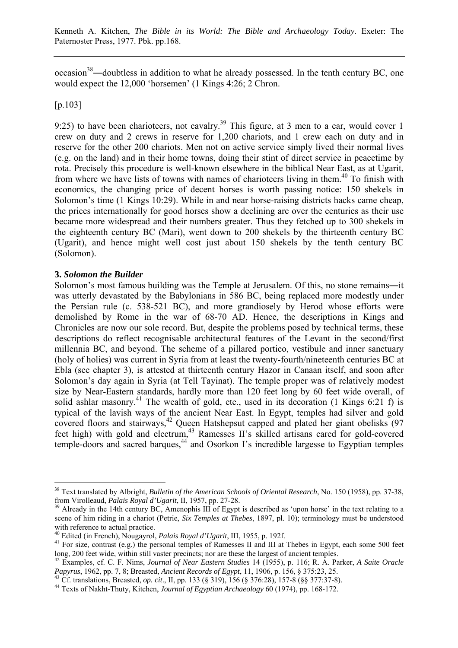$\alpha$  occasion<sup>38</sup>—doubtless in addition to what he already possessed. In the tenth century BC, one would expect the 12,000 'horsemen' (1 Kings 4:26; 2 Chron.

[p.103]

9:25) to have been charioteers, not cavalry.<sup>39</sup> This figure, at 3 men to a car, would cover 1 crew on duty and 2 crews in reserve for 1,200 chariots, and 1 crew each on duty and in reserve for the other 200 chariots. Men not on active service simply lived their normal lives (e.g. on the land) and in their home towns, doing their stint of direct service in peacetime by rota. Precisely this procedure is well-known elsewhere in the biblical Near East, as at Ugarit, from where we have lists of towns with names of charioteers living in them.<sup>40</sup> To finish with economics, the changing price of decent horses is worth passing notice: 150 shekels in Solomon's time (1 Kings 10:29). While in and near horse-raising districts hacks came cheap, the prices internationally for good horses show a declining arc over the centuries as their use became more widespread and their numbers greater. Thus they fetched up to 300 shekels in the eighteenth century BC (Mari), went down to 200 shekels by the thirteenth century BC (Ugarit), and hence might well cost just about 150 shekels by the tenth century BC (Solomon).

### **3.** *Solomon the Builder*

Solomon's most famous building was the Temple at Jerusalem. Of this, no stone remains―it was utterly devastated by the Babylonians in 586 BC, being replaced more modestly under the Persian rule (c. 538-521 BC), and more grandiosely by Herod whose efforts were demolished by Rome in the war of 68-70 AD. Hence, the descriptions in Kings and Chronicles are now our sole record. But, despite the problems posed by technical terms, these descriptions do reflect recognisable architectural features of the Levant in the second/first millennia BC, and beyond. The scheme of a pillared portico, vestibule and inner sanctuary (holy of holies) was current in Syria from at least the twenty-fourth/nineteenth centuries BC at Ebla (see chapter 3), is attested at thirteenth century Hazor in Canaan itself, and soon after Solomon's day again in Syria (at Tell Tayinat). The temple proper was of relatively modest size by Near-Eastern standards, hardly more than 120 feet long by 60 feet wide overall, of solid ashlar masonry.<sup>41</sup> The wealth of gold, etc., used in its decoration  $(1 \text{ Kings } 6:21 \text{ f})$  is typical of the lavish ways of the ancient Near East. In Egypt, temples had silver and gold covered floors and stairways,<sup>42</sup> Queen Hatshepsut capped and plated her giant obelisks  $(97)$ feet high) with gold and electrum,<sup>43</sup> Ramesses II's skilled artisans cared for gold-covered temple-doors and sacred barques, $44$  and Osorkon I's incredible largesse to Egyptian temples

 $\overline{a}$ <sup>38</sup> Text translated by Albright, *Bulletin of the American Schools of Oriental Research*, No. 150 (1958), pp. 37-38, from Virolleaud, *Palais Royal d'Ugarit*, II, 1957, pp. 27-28.

<sup>&</sup>lt;sup>39</sup> Already in the 14th century BC, Amenophis III of Egypt is described as 'upon horse' in the text relating to a scene of him riding in a chariot (Petrie, *Six Temples at Thebes*, 1897, pl. 10); terminology must be understood with reference to actual practice.<br><sup>40</sup> Edited (in French), Nougayrol, *Palais Royal d'Ugarit*, III, 1955, p. 192f.

<sup>&</sup>lt;sup>41</sup> For size, contrast  $(e.g.)$  the personal temples of Ramesses II and III at Thebes in Egypt, each some 500 feet long, 200 feet wide, within still vaster precincts; nor are these the largest of ancient temples.

<sup>&</sup>lt;sup>42</sup> Examples, cf. C. F. Nims, *Journal of Near Eastern Studies* 14 (1955), p. 116; R. A. Parker, *A Saite Oracle Papyrus*, 1962, pp. 7, 8; Breasted, *Ancient Records of Egypt*, 11, 1906, p. 156, § 375:23, 25.<br><sup>43</sup> Cf. translations, Breasted, *op. cit.*, II, pp. 133 (§ 319), 156 (§ 376:28), 157-8 (§§ 377:37-8).<br><sup>44</sup> Texts of Nakht-Th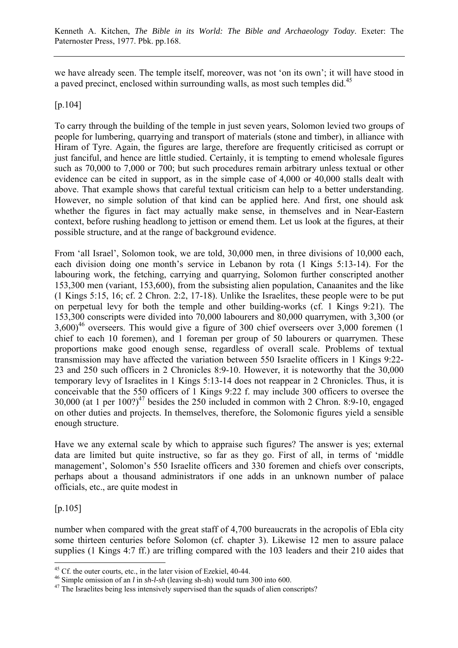we have already seen. The temple itself, moreover, was not 'on its own'; it will have stood in a paved precinct, enclosed within surrounding walls, as most such temples did.<sup>45</sup>

## [p.104]

To carry through the building of the temple in just seven years, Solomon levied two groups of people for lumbering, quarrying and transport of materials (stone and timber), in alliance with Hiram of Tyre. Again, the figures are large, therefore are frequently criticised as corrupt or just fanciful, and hence are little studied. Certainly, it is tempting to emend wholesale figures such as 70,000 to 7,000 or 700; but such procedures remain arbitrary unless textual or other evidence can be cited in support, as in the simple case of 4,000 or 40,000 stalls dealt with above. That example shows that careful textual criticism can help to a better understanding. However, no simple solution of that kind can be applied here. And first, one should ask whether the figures in fact may actually make sense, in themselves and in Near-Eastern context, before rushing headlong to jettison or emend them. Let us look at the figures, at their possible structure, and at the range of background evidence.

From 'all Israel', Solomon took, we are told, 30,000 men, in three divisions of 10,000 each, each division doing one month's service in Lebanon by rota (1 Kings 5:13-14). For the labouring work, the fetching, carrying and quarrying, Solomon further conscripted another 153,300 men (variant, 153,600), from the subsisting alien population, Canaanites and the like (1 Kings 5:15, 16; cf. 2 Chron. 2:2, 17-18). Unlike the Israelites, these people were to be put on perpetual levy for both the temple and other building-works (cf. 1 Kings 9:21). The 153,300 conscripts were divided into 70,000 labourers and 80,000 quarrymen, with 3,300 (or  $3,600$ <sup>46</sup> overseers. This would give a figure of 300 chief overseers over 3,000 foremen (1) chief to each 10 foremen), and 1 foreman per group of 50 labourers or quarrymen. These proportions make good enough sense, regardless of overall scale. Problems of textual transmission may have affected the variation between 550 Israelite officers in 1 Kings 9:22- 23 and 250 such officers in 2 Chronicles 8:9-10. However, it is noteworthy that the 30,000 temporary levy of Israelites in 1 Kings 5:13-14 does not reappear in 2 Chronicles. Thus, it is conceivable that the 550 officers of 1 Kings 9:22 f. may include 300 officers to oversee the 30,000 (at 1 per  $100$ ?)<sup>47</sup> besides the 250 included in common with 2 Chron. 8:9-10, engaged on other duties and projects. In themselves, therefore, the Solomonic figures yield a sensible enough structure.

Have we any external scale by which to appraise such figures? The answer is yes; external data are limited but quite instructive, so far as they go. First of all, in terms of 'middle management', Solomon's 550 Israelite officers and 330 foremen and chiefs over conscripts, perhaps about a thousand administrators if one adds in an unknown number of palace officials, etc., are quite modest in

 $[p.105]$ 

 $\overline{a}$ 

number when compared with the great staff of 4,700 bureaucrats in the acropolis of Ebla city some thirteen centuries before Solomon (cf. chapter 3). Likewise 12 men to assure palace supplies (1 Kings 4:7 ff.) are trifling compared with the 103 leaders and their 210 aides that

<sup>&</sup>lt;sup>45</sup> Cf. the outer courts, etc., in the later vision of Ezekiel, 40-44.<br><sup>46</sup> Simple omission of an *l* in *sh-l-sh* (leaving sh-sh) would turn 300 into 600.

<sup>&</sup>lt;sup>47</sup> The Israelites being less intensively supervised than the squads of alien conscripts?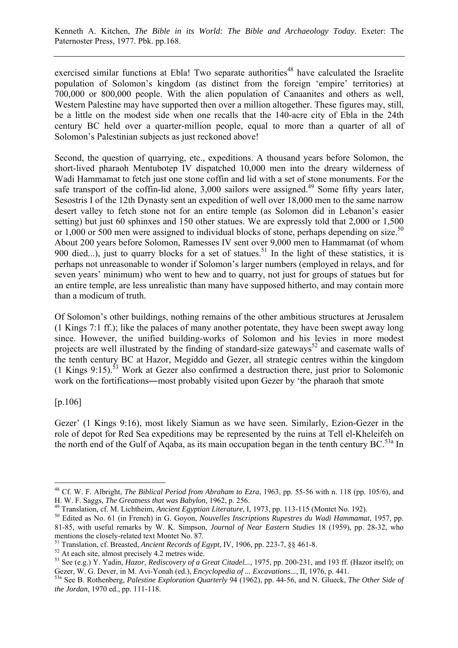exercised similar functions at Ebla! Two separate authorities<sup>48</sup> have calculated the Israelite population of Solomon's kingdom (as distinct from the foreign 'empire' territories) at 700,000 or 800,000 people. With the alien population of Canaanites and others as well, Western Palestine may have supported then over a million altogether. These figures may, still, be a little on the modest side when one recalls that the 140-acre city of Ebla in the 24th century BC held over a quarter-million people, equal to more than a quarter of all of Solomon's Palestinian subjects as just reckoned above!

Second, the question of quarrying, etc., expeditions. A thousand years before Solomon, the short-lived pharaoh Mentubotep IV dispatched 10,000 men into the dreary wilderness of Wadi Hammamat to fetch just one stone coffin and lid with a set of stone monuments. For the safe transport of the coffin-lid alone,  $3,000$  sailors were assigned.<sup>49</sup> Some fifty years later, Sesostris I of the 12th Dynasty sent an expedition of well over 18,000 men to the same narrow desert valley to fetch stone not for an entire temple (as Solomon did in Lebanon's easier setting) but just 60 sphinxes and 150 other statues. We are expressly told that 2,000 or 1,500 or 1,000 or 500 men were assigned to individual blocks of stone, perhaps depending on size.<sup>50</sup> About 200 years before Solomon, Ramesses IV sent over 9,000 men to Hammamat (of whom 900 died...), just to quarry blocks for a set of statues.<sup>51</sup> In the light of these statistics, it is perhaps not unreasonable to wonder if Solomon's larger numbers (employed in relays, and for seven years' minimum) who went to hew and to quarry, not just for groups of statues but for an entire temple, are less unrealistic than many have supposed hitherto, and may contain more than a modicum of truth.

Of Solomon's other buildings, nothing remains of the other ambitious structures at Jerusalem (1 Kings 7:1 ff.); like the palaces of many another potentate, they have been swept away long since. However, the unified building-works of Solomon and his levies in more modest projects are well illustrated by the finding of standard-size gateways<sup>52</sup> and casemate walls of the tenth century BC at Hazor, Megiddo and Gezer, all strategic centres within the kingdom  $(1 \text{ Kings } 9:15)$ .<sup>53</sup> Work at Gezer also confirmed a destruction there, just prior to Solomonic work on the fortifications—most probably visited upon Gezer by 'the pharaoh that smote

[p.106]

 $\overline{a}$ 

Gezer' (1 Kings 9:16), most likely Siamun as we have seen. Similarly, Ezion-Gezer in the role of depot for Red Sea expeditions may be represented by the ruins at Tell el-Kheleifeh on the north end of the Gulf of Aqaba, as its main occupation began in the tenth century BC.<sup>53a</sup> In

<sup>&</sup>lt;sup>48</sup> Cf. W. F. Albright, *The Biblical Period from Abraham to Ezra*, 1963, pp. 55-56 with n. 118 (pp. 105/6), and H. W. F. Saggs, *The Greatness that was Babylon*, 1962, p. 256.

<sup>&</sup>lt;sup>49</sup> Translation, cf. M. Lichtheim, *Ancient Egyptian Literature*, I, 1973, pp. 113-115 (Montet No. 192).<br><sup>50</sup> Edited as No. 61 (in French) in G. Goyon, *Nouvelles Inscriptions Rupestres du Wadi Hammamat*, 1957, pp.

<sup>81-85,</sup> with useful remarks by W. K. Simpson, *Journal of Near Eastern Studies* 18 (1959), pp. 28-32, who mentions the closely-related text Montet No. 87.

<sup>&</sup>lt;sup>51</sup> Translation, cf. Breasted, *Ancient Records of Egypt*, IV, 1906, pp. 223-7, §§ 461-8. <sup>52</sup> At each site, almost precisely 4.2 metres wide.

<sup>&</sup>lt;sup>53</sup> See (e.g.) Y. Yadin, *Hazor, Rediscovery of a Great Citadel...*, 1975, pp. 200-231, and 193 ff. (Hazor itself); on Gezer, W. G. Dever, in M. Avi-Yonah (ed.), *Encyclopedia of ... Excavations...*, II, 1976, p. 441.

<sup>53</sup>a See B. Rothenberg, Palestine Exploration Quarterly 94 (1962), pp. 44-56, and N. Glueck, The Other Side of *the Jordan*, 1970 ed., pp. 111-118.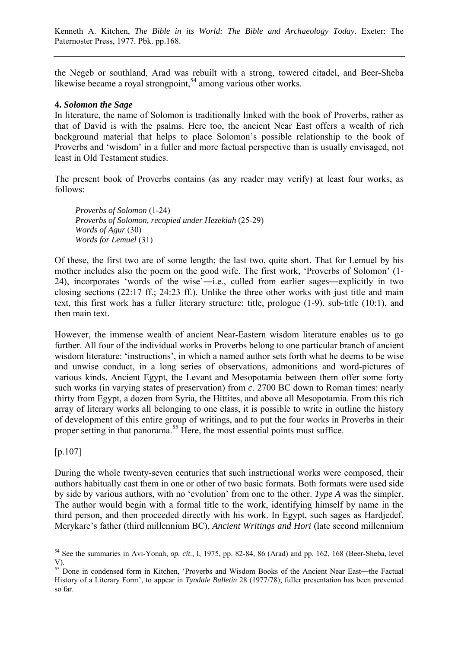the Negeb or southland, Arad was rebuilt with a strong, towered citadel, and Beer-Sheba likewise became a royal strongpoint,<sup>54</sup> among various other works.

#### **4.** *Solomon the Sage*

In literature, the name of Solomon is traditionally linked with the book of Proverbs, rather as that of David is with the psalms. Here too, the ancient Near East offers a wealth of rich background material that helps to place Solomon's possible relationship to the book of Proverbs and 'wisdom' in a fuller and more factual perspective than is usually envisaged, not least in Old Testament studies.

The present book of Proverbs contains (as any reader may verify) at least four works, as follows:

*Proverbs of Solomon* (1-24) *Proverbs of Solomon, recopied under Hezekiah* (25-29) *Words of Agur* (30) *Words for Lemuel* (31)

Of these, the first two are of some length; the last two, quite short. That for Lemuel by his mother includes also the poem on the good wife. The first work, 'Proverbs of Solomon' (1- 24), incorporates 'words of the wise'―i.e., culled from earlier sages―explicitly in two closing sections (22:17 ff.; 24:23 ff.). Unlike the three other works with just title and main text, this first work has a fuller literary structure: title, prologue (1-9), sub-title (10:1), and then main text.

However, the immense wealth of ancient Near-Eastern wisdom literature enables us to go further. All four of the individual works in Proverbs belong to one particular branch of ancient wisdom literature: 'instructions', in which a named author sets forth what he deems to be wise and unwise conduct, in a long series of observations, admonitions and word-pictures of various kinds. Ancient Egypt, the Levant and Mesopotamia between them offer some forty such works (in varying states of preservation) from *c*. 2700 BC down to Roman times: nearly thirty from Egypt, a dozen from Syria, the Hittites, and above all Mesopotamia. From this rich array of literary works all belonging to one class, it is possible to write in outline the history of development of this entire group of writings, and to put the four works in Proverbs in their proper setting in that panorama.55 Here, the most essential points must suffice.

[p.107]

 $\overline{a}$ 

During the whole twenty-seven centuries that such instructional works were composed, their authors habitually cast them in one or other of two basic formats. Both formats were used side by side by various authors, with no 'evolution' from one to the other. *Type A* was the simpler, The author would begin with a formal title to the work, identifying himself by name in the third person, and then proceeded directly with his work. In Egypt, such sages as Hardjedef, Merykare's father (third millennium BC), *Ancient Writings and Hori* (late second millennium

<sup>54</sup> See the summaries in Avi-Yonah, *op. cit.*, I, 1975, pp. 82-84, 86 (Arad) and pp. 162, 168 (Beer-Sheba, level V).

<sup>&</sup>lt;sup>55</sup> Done in condensed form in Kitchen, 'Proverbs and Wisdom Books of the Ancient Near East—the Factual History of a Literary Form', to appear in *Tyndale Bulletin* 28 (1977/78); fuller presentation has been prevented so far.